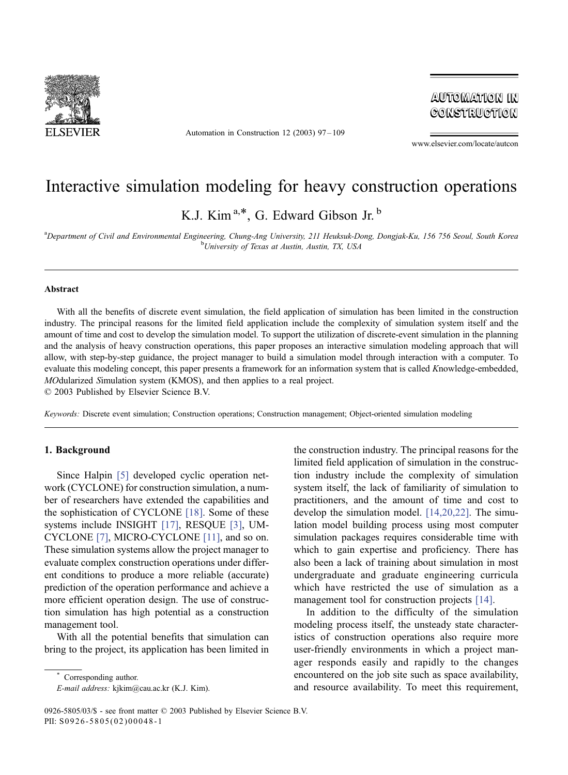

Automation in Construction 12 (2003) 97 – 109

**AUTOMATION IN** CONSTRUCTION

www.elsevier.com/locate/autcon

## Interactive simulation modeling for heavy construction operations

K.J. Kim<sup>a,\*</sup>, G. Edward Gibson Jr.<sup>b</sup>

a<br>Department of Civil and Environmental Engineering, Chung-Ang University, 211 Heuksuk-Dong, Dongjak-Ku, 156 756 Seoul, South Korea<br><sup>b</sup>Liniversity of Texas at Austin, Austin, Austin, T.V. USA University of Texas at Austin, Austin, TX, USA

#### Abstract

With all the benefits of discrete event simulation, the field application of simulation has been limited in the construction industry. The principal reasons for the limited field application include the complexity of simulation system itself and the amount of time and cost to develop the simulation model. To support the utilization of discrete-event simulation in the planning and the analysis of heavy construction operations, this paper proposes an interactive simulation modeling approach that will allow, with step-by-step guidance, the project manager to build a simulation model through interaction with a computer. To evaluate this modeling concept, this paper presents a framework for an information system that is called Knowledge-embedded, MOdularized Simulation system (KMOS), and then applies to a real project.

 $© 2003$  Published by Elsevier Science B.V.

Keywords: Discrete event simulation; Construction operations; Construction management; Object-oriented simulation modeling

### 1. Background

Since Halpin [\[5\]](#page--1-0) developed cyclic operation network (CYCLONE) for construction simulation, a number of researchers have extended the capabilities and the sophistication of CYCLONE [\[18\].](#page--1-0) Some of these systems include INSIGHT [\[17\],](#page--1-0) RESQUE [\[3\],](#page--1-0) UM-CYCLONE [\[7\],](#page--1-0) MICRO-CYCLONE [\[11\],](#page--1-0) and so on. These simulation systems allow the project manager to evaluate complex construction operations under different conditions to produce a more reliable (accurate) prediction of the operation performance and achieve a more efficient operation design. The use of construction simulation has high potential as a construction management tool.

With all the potential benefits that simulation can bring to the project, its application has been limited in

Corresponding author.

E-mail address: kjkim@cau.ac.kr (K.J. Kim).

the construction industry. The principal reasons for the limited field application of simulation in the construction industry include the complexity of simulation system itself, the lack of familiarity of simulation to practitioners, and the amount of time and cost to develop the simulation model. [\[14,20,22\].](#page--1-0) The simulation model building process using most computer simulation packages requires considerable time with which to gain expertise and proficiency. There has also been a lack of training about simulation in most undergraduate and graduate engineering curricula which have restricted the use of simulation as a management tool for construction projects [\[14\].](#page--1-0)

In addition to the difficulty of the simulation modeling process itself, the unsteady state characteristics of construction operations also require more user-friendly environments in which a project manager responds easily and rapidly to the changes encountered on the job site such as space availability, and resource availability. To meet this requirement,

<sup>0926-5805/03/\$ -</sup> see front matter © 2003 Published by Elsevier Science B.V. PII: S0926-5805(02)00048-1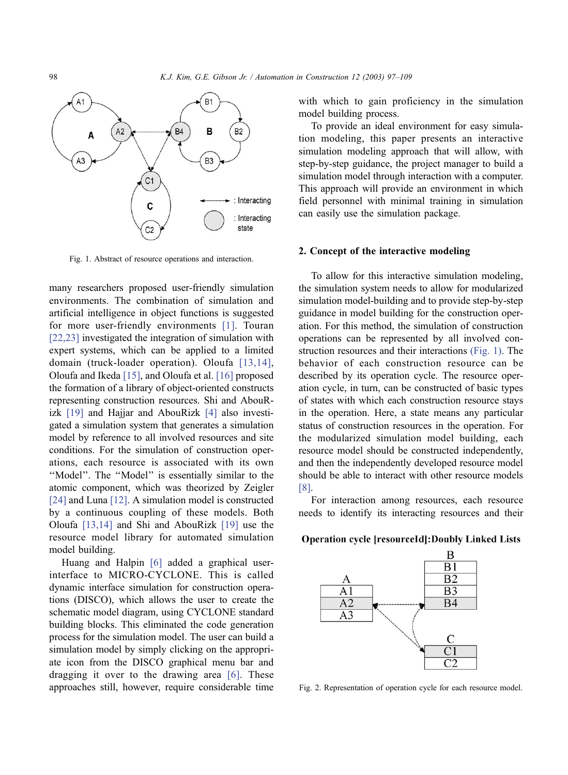

Fig. 1. Abstract of resource operations and interaction.

many researchers proposed user-friendly simulation environments. The combination of simulation and artificial intelligence in object functions is suggested for more user-friendly environments [\[1\].](#page--1-0) Touran [\[22,23\]](#page--1-0) investigated the integration of simulation with expert systems, which can be applied to a limited domain (truck-loader operation). Oloufa [\[13,14\],](#page--1-0) Oloufa and Ikeda [\[15\],](#page--1-0) and Oloufa et al. [\[16\]](#page--1-0) proposed the formation of a library of object-oriented constructs representing construction resources. Shi and AbouRizk [\[19\]](#page--1-0) and Hajjar and AbouRizk [\[4\]](#page--1-0) also investigated a simulation system that generates a simulation model by reference to all involved resources and site conditions. For the simulation of construction operations, each resource is associated with its own "Model". The "Model" is essentially similar to the atomic component, which was theorized by Zeigler [\[24\]](#page--1-0) and Luna [\[12\]](#page--1-0). A simulation model is constructed by a continuous coupling of these models. Both Oloufa [\[13,14\]](#page--1-0) and Shi and AbouRizk [\[19\]](#page--1-0) use the resource model library for automated simulation model building.

Huang and Halpin [\[6\]](#page--1-0) added a graphical userinterface to MICRO-CYCLONE. This is called dynamic interface simulation for construction operations (DISCO), which allows the user to create the schematic model diagram, using CYCLONE standard building blocks. This eliminated the code generation process for the simulation model. The user can build a simulation model by simply clicking on the appropriate icon from the DISCO graphical menu bar and dragging it over to the drawing area [\[6\].](#page--1-0) These approaches still, however, require considerable time with which to gain proficiency in the simulation model building process.

To provide an ideal environment for easy simulation modeling, this paper presents an interactive simulation modeling approach that will allow, with step-by-step guidance, the project manager to build a simulation model through interaction with a computer. This approach will provide an environment in which field personnel with minimal training in simulation can easily use the simulation package.

#### 2. Concept of the interactive modeling

To allow for this interactive simulation modeling, the simulation system needs to allow for modularized simulation model-building and to provide step-by-step guidance in model building for the construction operation. For this method, the simulation of construction operations can be represented by all involved construction resources and their interactions (Fig. 1). The behavior of each construction resource can be described by its operation cycle. The resource operation cycle, in turn, can be constructed of basic types of states with which each construction resource stays in the operation. Here, a state means any particular status of construction resources in the operation. For the modularized simulation model building, each resource model should be constructed independently, and then the independently developed resource model should be able to interact with other resource models [\[8\].](#page--1-0)

For interaction among resources, each resource needs to identify its interacting resources and their

#### **Operation cycle [resourceId]: Doubly Linked Lists**



Fig. 2. Representation of operation cycle for each resource model.